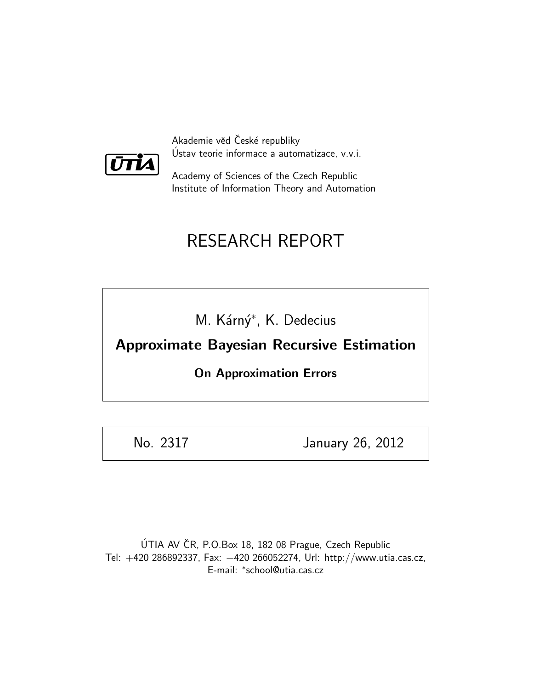

Akademie věd České republiky Ustav teorie informace a automatizace, v.v.i. ´

Academy of Sciences of the Czech Republic Institute of Information Theory and Automation

# RESEARCH REPORT

M. Kárný<sup>\*</sup>, K. Dedecius

Approximate Bayesian Recursive Estimation

On Approximation Errors

No. 2317 January 26, 2012

ÚTIA AV ČR, P.O.Box 18, 182 08 Prague, Czech Republic Tel: +420 286892337, Fax: +420 266052274, Url: http://www.utia.cas.cz, E-mail: <sup>∗</sup> school@utia.cas.cz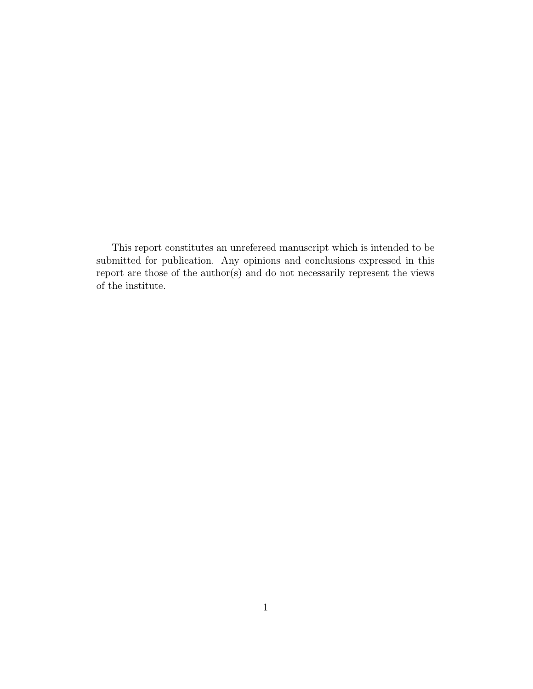This report constitutes an unrefereed manuscript which is intended to be submitted for publication. Any opinions and conclusions expressed in this report are those of the author(s) and do not necessarily represent the views of the institute.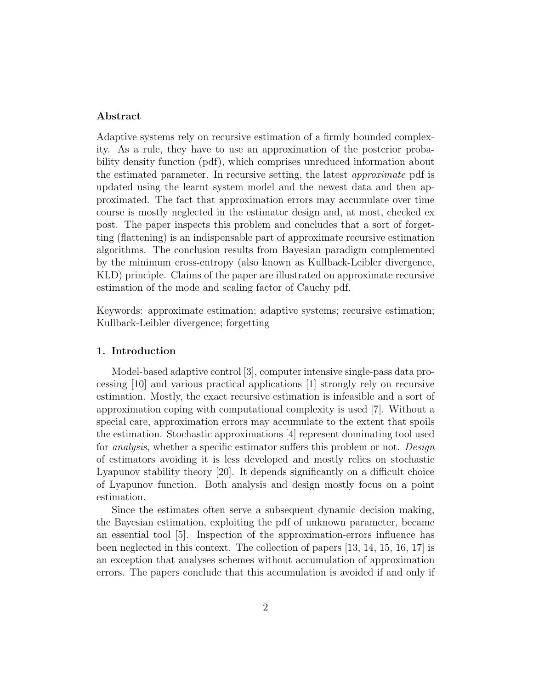# Abstract

Adaptive systems rely on recursive estimation of a firmly bounded complexity. As a rule, they have to use an approximation of the posterior probability density function (pdf), which comprises unreduced information about the estimated parameter. In recursive setting, the latest approximate pdf is updated using the learnt system model and the newest data and then approximated. The fact that approximation errors may accumulate over time course is mostly neglected in the estimator design and, at most, checked ex post. The paper inspects this problem and concludes that a sort of forgetting (flattening) is an indispensable part of approximate recursive estimation algorithms. The conclusion results from Bayesian paradigm complemented by the minimum cross-entropy (also known as Kullback-Leibler divergence, KLD) principle. Claims of the paper are illustrated on approximate recursive estimation of the mode and scaling factor of Cauchy pdf.

Keywords: approximate estimation; adaptive systems; recursive estimation; Kullback-Leibler divergence; forgetting

## 1. Introduction

Model-based adaptive control [3], computer intensive single-pass data processing [10] and various practical applications [1] strongly rely on recursive estimation. Mostly, the exact recursive estimation is infeasible and a sort of approximation coping with computational complexity is used [7]. Without a special care, approximation errors may accumulate to the extent that spoils the estimation. Stochastic approximations [4] represent dominating tool used for *analysis*, whether a specific estimator suffers this problem or not. *Design* of estimators avoiding it is less developed and mostly relies on stochastic Lyapunov stability theory [20]. It depends significantly on a difficult choice of Lyapunov function. Both analysis and design mostly focus on a point estimation.

Since the estimates often serve a subsequent dynamic decision making, the Bayesian estimation, exploiting the pdf of unknown parameter, became an essential tool [5]. Inspection of the approximation-errors influence has been neglected in this context. The collection of papers [13, 14, 15, 16, 17] is an exception that analyses schemes without accumulation of approximation errors. The papers conclude that this accumulation is avoided if and only if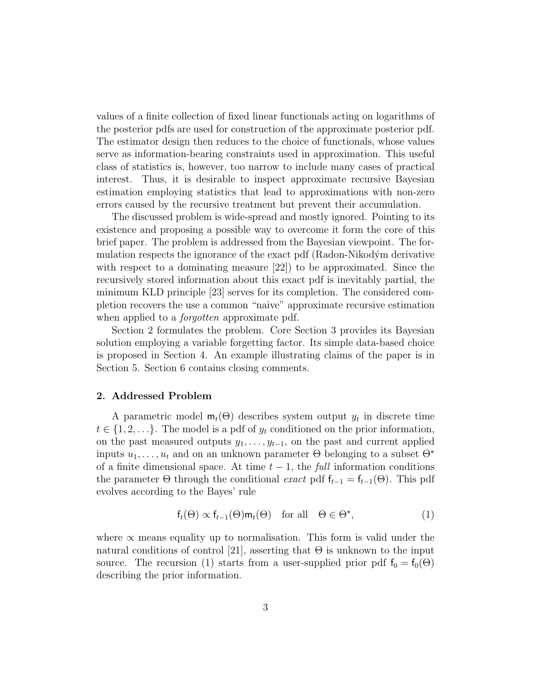values of a finite collection of fixed linear functionals acting on logarithms of the posterior pdfs are used for construction of the approximate posterior pdf. The estimator design then reduces to the choice of functionals, whose values serve as information-bearing constraints used in approximation. This useful class of statistics is, however, too narrow to include many cases of practical interest. Thus, it is desirable to inspect approximate recursive Bayesian estimation employing statistics that lead to approximations with non-zero errors caused by the recursive treatment but prevent their accumulation.

The discussed problem is wide-spread and mostly ignored. Pointing to its existence and proposing a possible way to overcome it form the core of this brief paper. The problem is addressed from the Bayesian viewpoint. The formulation respects the ignorance of the exact pdf (Radon-Nikodým derivative with respect to a dominating measure [22]) to be approximated. Since the recursively stored information about this exact pdf is inevitably partial, the minimum KLD principle [23] serves for its completion. The considered completion recovers the use a common "naive" approximate recursive estimation when applied to a *forgotten* approximate pdf.

Section 2 formulates the problem. Core Section 3 provides its Bayesian solution employing a variable forgetting factor. Its simple data-based choice is proposed in Section 4. An example illustrating claims of the paper is in Section 5. Section 6 contains closing comments.

## 2. Addressed Problem

A parametric model  $m_t(\Theta)$  describes system output  $y_t$  in discrete time  $t \in \{1, 2, \ldots\}$ . The model is a pdf of  $y_t$  conditioned on the prior information, on the past measured outputs  $y_1, \ldots, y_{t-1}$ , on the past and current applied inputs  $u_1, \ldots, u_t$  and on an unknown parameter  $\Theta$  belonging to a subset  $\Theta^*$ of a finite dimensional space. At time  $t-1$ , the full information conditions the parameter  $\Theta$  through the conditional exact pdf  $f_{t-1} = f_{t-1}(\Theta)$ . This pdf evolves according to the Bayes' rule

$$
f_t(\Theta) \propto f_{t-1}(\Theta) \mathsf{m}_t(\Theta) \quad \text{for all} \quad \Theta \in \Theta^*, \tag{1}
$$

where  $\alpha$  means equality up to normalisation. This form is valid under the natural conditions of control [21], asserting that  $\Theta$  is unknown to the input source. The recursion (1) starts from a user-supplied prior pdf  $f_0 = f_0(\Theta)$ describing the prior information.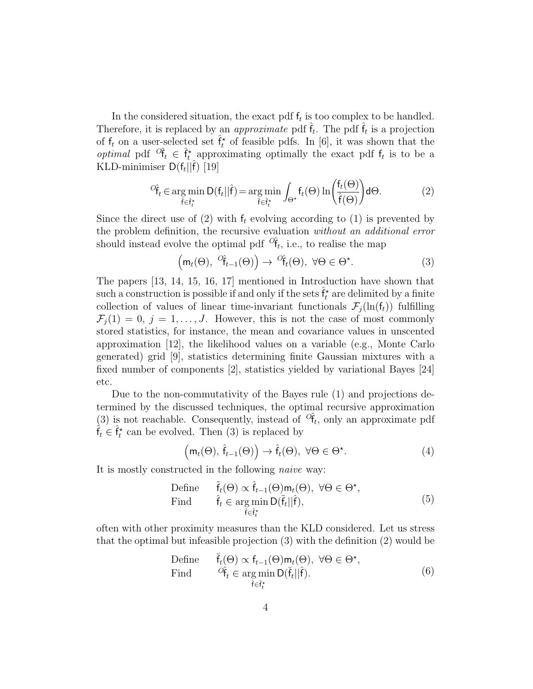In the considered situation, the exact pdf  $f_t$  is too complex to be handled. Therefore, it is replaced by an *approximate* pdf  $\hat{f}_t$ . The pdf  $\hat{f}_t$  is a projection of  $f_t$  on a user-selected set  $\hat{f}_t^*$  of feasible pdfs. In [6], it was shown that the *optimal* pdf  $^{\circ}$ f<sub>t</sub>  $\in \hat{f}_{t}^{*}$  approximating optimally the exact pdf  $f_{t}$  is to be a KLD-minimiser  $D(f_t||\hat{f})$  [19]

$$
{}^{O}\hat{\mathbf{f}}_{t} \in \underset{\hat{\mathbf{f}} \in \hat{\mathbf{f}}_{t}^{*}}{\arg\min} \mathsf{D}(\mathbf{f}_{t}||\hat{\mathbf{f}}) = \underset{\hat{\mathbf{f}} \in \hat{\mathbf{f}}_{t}^{*}}{\arg\min} \int_{\Theta^{*}} \mathbf{f}_{t}(\Theta) \ln \left(\frac{\mathbf{f}_{t}(\Theta)}{\hat{\mathbf{f}}(\Theta)}\right) d\Theta. \tag{2}
$$

Since the direct use of (2) with  $f_t$  evolving according to (1) is prevented by the problem definition, the recursive evaluation without an additional error should instead evolve the optimal pdf  $\partial \hat{\mathsf{f}}_t$ , i.e., to realise the map

$$
\left(\mathsf{m}_t(\Theta), \ ^{\mathcal{O}}\hat{\mathsf{f}}_{t-1}(\Theta)\right) \to \ ^{\mathcal{O}}\hat{\mathsf{f}}_t(\Theta), \ \forall \Theta \in \Theta^{\star}.\tag{3}
$$

The papers [13, 14, 15, 16, 17] mentioned in Introduction have shown that such a construction is possible if and only if the sets  $\hat{f}_t^{\star}$  are delimited by a finite collection of values of linear time-invariant functionals  $\mathcal{F}_i(\ln(f_t))$  fulfilling  $\mathcal{F}_i(1) = 0, j = 1, \ldots, J$ . However, this is not the case of most commonly stored statistics, for instance, the mean and covariance values in unscented approximation [12], the likelihood values on a variable (e.g., Monte Carlo generated) grid [9], statistics determining finite Gaussian mixtures with a fixed number of components [2], statistics yielded by variational Bayes [24] etc.

Due to the non-commutativity of the Bayes rule (1) and projections determined by the discussed techniques, the optimal recursive approximation (3) is not reachable. Consequently, instead of  $\hat{C}_{t}$ , only an approximate pdf  $\hat{f}_t \in \hat{f}_t^{\star}$  can be evolved. Then (3) is replaced by

$$
\left(\mathsf{m}_{t}(\Theta), \hat{\mathsf{f}}_{t-1}(\Theta)\right) \to \hat{\mathsf{f}}_{t}(\Theta), \ \forall \Theta \in \Theta^{\star}.\tag{4}
$$

It is mostly constructed in the following naive way:

Define 
$$
\tilde{f}_t(\Theta) \propto \hat{f}_{t-1}(\Theta) \mathsf{m}_t(\Theta), \ \forall \Theta \in \Theta^{\star},
$$
  
Find  $\hat{f}_t \in \arg \min_{\tilde{f} \in \hat{f}_t^{\star}} D(\tilde{f}_t || \hat{f}),$  (5)

often with other proximity measures than the KLD considered. Let us stress that the optimal but infeasible projection (3) with the definition (2) would be

Define 
$$
\check{\mathsf{f}}_t(\Theta) \propto \mathsf{f}_{t-1}(\Theta) \mathsf{m}_t(\Theta), \ \forall \Theta \in \Theta^{\star},
$$
  
\nFind  $\partial \hat{\mathsf{f}}_t \in \arg \min_{\tilde{\mathsf{f}} \in \hat{\mathsf{f}}_t^{\star}} D(\check{\mathsf{f}}_t || \hat{\mathsf{f}}).$  (6)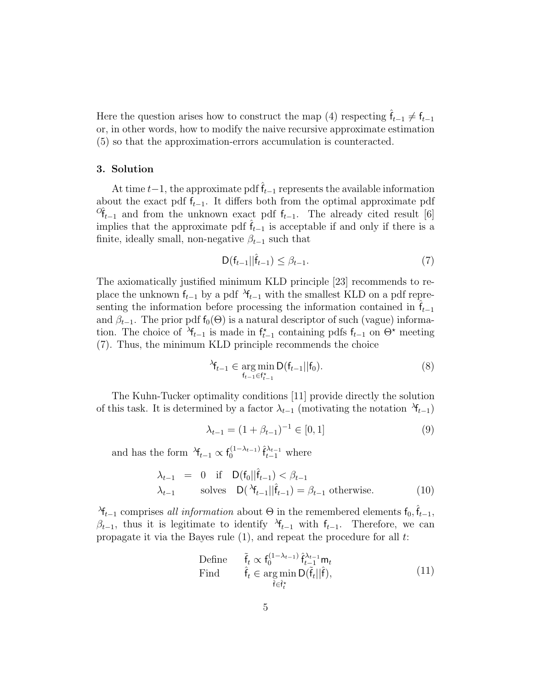Here the question arises how to construct the map (4) respecting  $\hat{f}_{t-1} \neq f_{t-1}$ or, in other words, how to modify the naive recursive approximate estimation (5) so that the approximation-errors accumulation is counteracted.

### 3. Solution

At time  $t-1$ , the approximate pdf  $\hat{f}_{t-1}$  represents the available information about the exact pdf  $f_{t-1}$ . It differs both from the optimal approximate pdf  $\sigma_{t-1}$  and from the unknown exact pdf  $f_{t-1}$ . The already cited result [6] implies that the approximate pdf  $f_{t-1}$  is acceptable if and only if there is a finite, ideally small, non-negative  $\beta_{t-1}$  such that

$$
\mathsf{D}(\mathsf{f}_{t-1}||\hat{\mathsf{f}}_{t-1}) \leq \beta_{t-1}.\tag{7}
$$

The axiomatically justified minimum KLD principle [23] recommends to replace the unknown  $f_{t-1}$  by a pdf  $\lambda f_{t-1}$  with the smallest KLD on a pdf representing the information before processing the information contained in  $f_{t-1}$ and  $\beta_{t-1}$ . The prior pdf  $f_0(\Theta)$  is a natural descriptor of such (vague) information. The choice of  $\mathcal{A}_{t-1}$  is made in  $f_{t-1}^*$  containing pdfs  $f_{t-1}$  on  $\Theta^*$  meeting (7). Thus, the minimum KLD principle recommends the choice

$$
\lambda_{t-1} \in \underset{\mathbf{f}_{t-1} \in \mathbf{f}_{t-1}^{\star}}{\arg \min} \mathsf{D}(\mathbf{f}_{t-1} || \mathbf{f}_0). \tag{8}
$$

The Kuhn-Tucker optimality conditions [11] provide directly the solution of this task. It is determined by a factor  $\lambda_{t-1}$  (motivating the notation  $\lambda_{t-1}$ )

$$
\lambda_{t-1} = (1 + \beta_{t-1})^{-1} \in [0, 1] \tag{9}
$$

and has the form  $\lambda_{t-1} \propto f_0^{(1-\lambda_{t-1})}$  $\hat{\mathsf{f}}_{t-1}^{(1-\lambda_{t-1})} \hat{\mathsf{f}}_{t-1}^{\lambda_{t-1}}$  where

$$
\lambda_{t-1} = 0 \quad \text{if} \quad D(\mathbf{f}_0 || \hat{\mathbf{f}}_{t-1}) < \beta_{t-1}
$$
\n
$$
\lambda_{t-1} \quad \text{solves} \quad D(\lambda_{t-1} || \hat{\mathbf{f}}_{t-1}) = \beta_{t-1} \text{ otherwise.} \tag{10}
$$

<sup>λ</sup>f<sub>t−1</sub> comprises all information about  $\Theta$  in the remembered elements  $f_0, \hat{f}_{t-1}$ ,  $\beta_{t-1}$ , thus it is legitimate to identify  $\lambda_{t-1}$  with  $f_{t-1}$ . Therefore, we can propagate it via the Bayes rule  $(1)$ , and repeat the procedure for all t:

Define 
$$
\tilde{\mathbf{f}}_t \propto \mathbf{f}_0^{(1-\lambda_{t-1})} \hat{\mathbf{f}}_{t-1}^{\lambda_{t-1}} \mathbf{m}_t
$$
  
Find  $\hat{\mathbf{f}}_t \in \arg \min_{\hat{\mathbf{f}} \in \hat{\mathbf{f}}_t^{\star}} \mathbf{D}(\tilde{\mathbf{f}}_t || \hat{\mathbf{f}}),$  (11)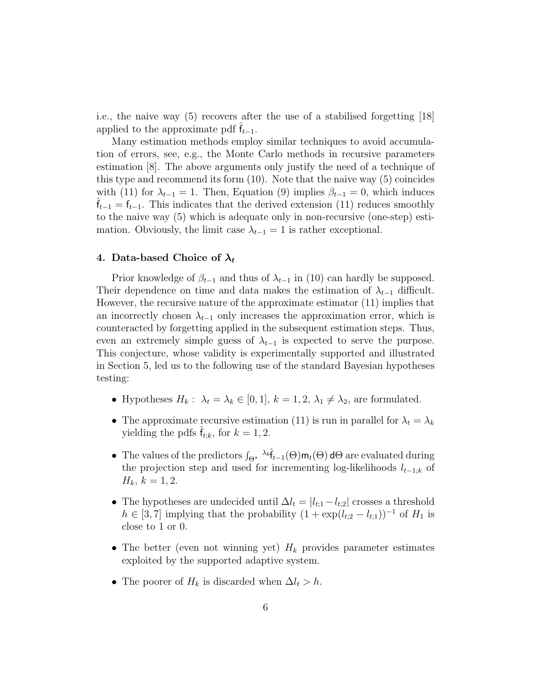i.e., the naive way (5) recovers after the use of a stabilised forgetting [18] applied to the approximate pdf  $f_{t-1}$ .

Many estimation methods employ similar techniques to avoid accumulation of errors, see, e.g., the Monte Carlo methods in recursive parameters estimation [8]. The above arguments only justify the need of a technique of this type and recommend its form (10). Note that the naive way (5) coincides with (11) for  $\lambda_{t-1} = 1$ . Then, Equation (9) implies  $\beta_{t-1} = 0$ , which induces  ${\sf f}_{t-1}={\sf f}_{t-1}$ . This indicates that the derived extension (11) reduces smoothly to the naive way (5) which is adequate only in non-recursive (one-step) estimation. Obviously, the limit case  $\lambda_{t-1} = 1$  is rather exceptional.

# 4. Data-based Choice of  $\lambda_t$

Prior knowledge of  $\beta_{t-1}$  and thus of  $\lambda_{t-1}$  in (10) can hardly be supposed. Their dependence on time and data makes the estimation of  $\lambda_{t-1}$  difficult. However, the recursive nature of the approximate estimator (11) implies that an incorrectly chosen  $\lambda_{t-1}$  only increases the approximation error, which is counteracted by forgetting applied in the subsequent estimation steps. Thus, even an extremely simple guess of  $\lambda_{t-1}$  is expected to serve the purpose. This conjecture, whose validity is experimentally supported and illustrated in Section 5, led us to the following use of the standard Bayesian hypotheses testing:

- Hypotheses  $H_k: \lambda_t = \lambda_k \in [0,1], k = 1,2, \lambda_1 \neq \lambda_2$ , are formulated.
- The approximate recursive estimation (11) is run in parallel for  $\lambda_t = \lambda_k$ yielding the pdfs  $f_{t;k}$ , for  $k = 1, 2$ .
- The values of the predictors  $\int_{\Theta^{\star}} \lambda_k \hat{f}_{t-1}(\Theta) \mathbf{m}_t(\Theta) d\Theta$  are evaluated during the projection step and used for incrementing log-likelihoods  $l_{t-1;k}$  of  $H_k, k = 1, 2.$
- The hypotheses are undecided until  $\Delta l_t = |l_{t,1} l_{t,2}|$  crosses a threshold  $h \in [3, 7]$  implying that the probability  $(1 + \exp(l_{t,2} - l_{t,1}))^{-1}$  of  $H_1$  is close to 1 or 0.
- The better (even not winning yet)  $H_k$  provides parameter estimates exploited by the supported adaptive system.
- The poorer of  $H_k$  is discarded when  $\Delta l_t > h$ .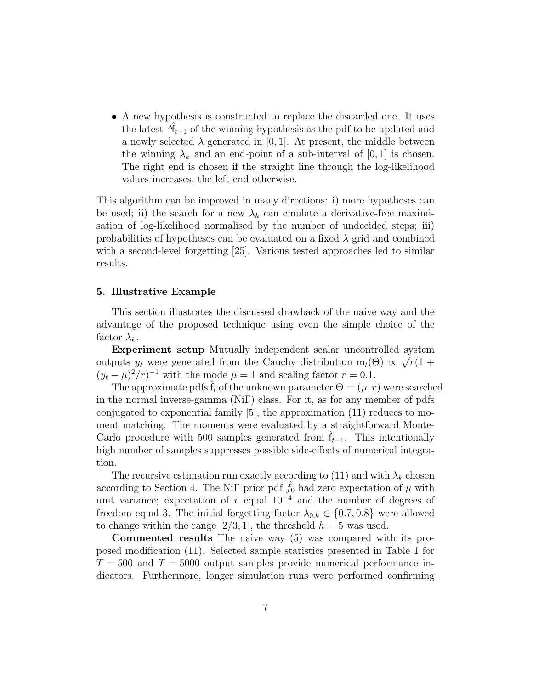• A new hypothesis is constructed to replace the discarded one. It uses the latest  $\lambda_{t-1}$  of the winning hypothesis as the pdf to be updated and a newly selected  $\lambda$  generated in [0, 1]. At present, the middle between the winning  $\lambda_k$  and an end-point of a sub-interval of [0, 1] is chosen. The right end is chosen if the straight line through the log-likelihood values increases, the left end otherwise.

This algorithm can be improved in many directions: i) more hypotheses can be used; ii) the search for a new  $\lambda_k$  can emulate a derivative-free maximisation of log-likelihood normalised by the number of undecided steps; iii) probabilities of hypotheses can be evaluated on a fixed  $\lambda$  grid and combined with a second-level forgetting [25]. Various tested approaches led to similar results.

## 5. Illustrative Example

This section illustrates the discussed drawback of the naive way and the advantage of the proposed technique using even the simple choice of the factor  $\lambda_k$ .

Experiment setup Mutually independent scalar uncontrolled system outputs  $y_t$  were generated from the Cauchy distribution  $m_t(\Theta) \propto$  $\frac{5}{2}$  $\overline{r}(1 +$  $(y_t - \mu)^2 / r$ <sup>-1</sup> with the mode  $\mu = 1$  and scaling factor  $r = 0.1$ .

The approximate pdfs  $\hat{f}_t$  of the unknown parameter  $\Theta = (\mu, r)$  were searched in the normal inverse-gamma (NiΓ) class. For it, as for any member of pdfs conjugated to exponential family [5], the approximation (11) reduces to moment matching. The moments were evaluated by a straightforward Monte-Carlo procedure with 500 samples generated from  $f_{t-1}$ . This intentionally high number of samples suppresses possible side-effects of numerical integration.

The recursive estimation run exactly according to (11) and with  $\lambda_k$  chosen according to Section 4. The Ni<sub>I</sub> prior pdf  $\hat{f}_0$  had zero expectation of  $\mu$  with unit variance; expectation of r equal  $10^{-4}$  and the number of degrees of freedom equal 3. The initial forgetting factor  $\lambda_{0,k} \in \{0.7, 0.8\}$  were allowed to change within the range  $[2/3, 1]$ , the threshold  $h = 5$  was used.

Commented results The naive way (5) was compared with its proposed modification (11). Selected sample statistics presented in Table 1 for  $T = 500$  and  $T = 5000$  output samples provide numerical performance indicators. Furthermore, longer simulation runs were performed confirming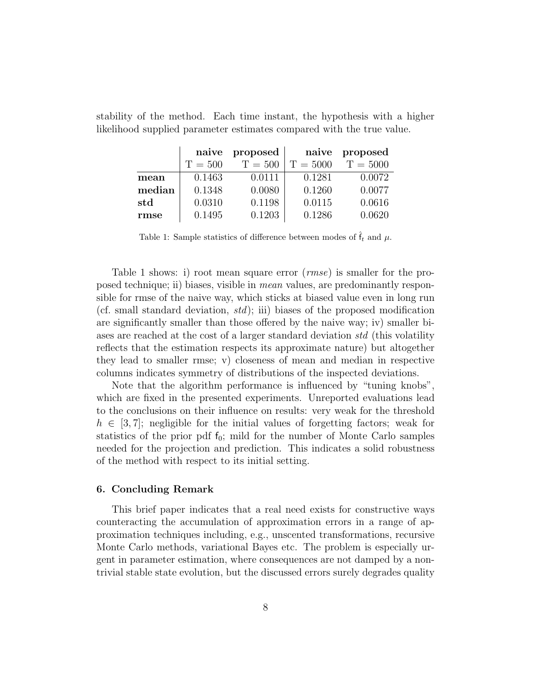|        | naive     | proposed  | naive      | proposed   |
|--------|-----------|-----------|------------|------------|
|        | $T = 500$ | $T = 500$ | $T = 5000$ | $T = 5000$ |
| mean   | 0.1463    | 0.0111    | 0.1281     | 0.0072     |
| median | 0.1348    | 0.0080    | 0.1260     | 0.0077     |
| std    | 0.0310    | 0.1198    | 0.0115     | 0.0616     |
| rmse   | 0.1495    | 0.1203    | 0.1286     | 0.0620     |

stability of the method. Each time instant, the hypothesis with a higher likelihood supplied parameter estimates compared with the true value.

Table 1: Sample statistics of difference between modes of  $\hat{f}_t$  and  $\mu$ .

Table 1 shows: i) root mean square error (*rmse*) is smaller for the proposed technique; ii) biases, visible in mean values, are predominantly responsible for rmse of the naive way, which sticks at biased value even in long run (cf. small standard deviation,  $std$ ); iii) biases of the proposed modification are significantly smaller than those offered by the naive way; iv) smaller biases are reached at the cost of a larger standard deviation std (this volatility reflects that the estimation respects its approximate nature) but altogether they lead to smaller rmse; v) closeness of mean and median in respective columns indicates symmetry of distributions of the inspected deviations.

Note that the algorithm performance is influenced by "tuning knobs", which are fixed in the presented experiments. Unreported evaluations lead to the conclusions on their influence on results: very weak for the threshold  $h \in [3, 7]$ ; negligible for the initial values of forgetting factors; weak for statistics of the prior pdf  $f_0$ ; mild for the number of Monte Carlo samples needed for the projection and prediction. This indicates a solid robustness of the method with respect to its initial setting.

## 6. Concluding Remark

This brief paper indicates that a real need exists for constructive ways counteracting the accumulation of approximation errors in a range of approximation techniques including, e.g., unscented transformations, recursive Monte Carlo methods, variational Bayes etc. The problem is especially urgent in parameter estimation, where consequences are not damped by a nontrivial stable state evolution, but the discussed errors surely degrades quality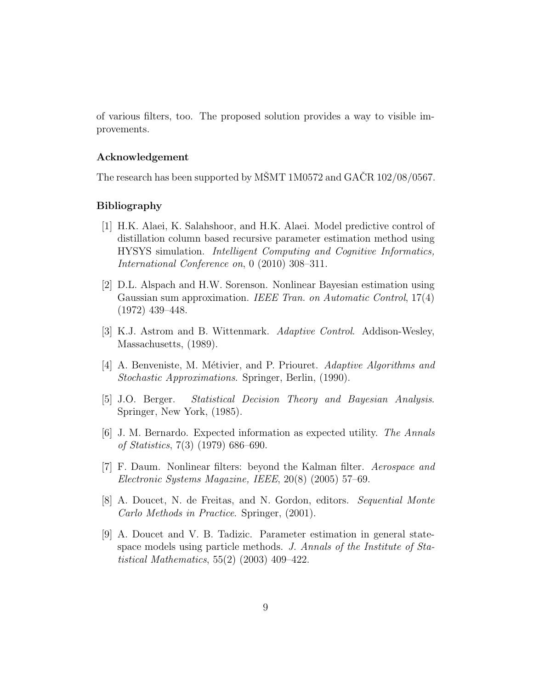of various filters, too. The proposed solution provides a way to visible improvements.

# Acknowledgement

The research has been supported by MŠMT 1M0572 and GAČR  $102/08/0567$ .

# Bibliography

- [1] H.K. Alaei, K. Salahshoor, and H.K. Alaei. Model predictive control of distillation column based recursive parameter estimation method using HYSYS simulation. Intelligent Computing and Cognitive Informatics, International Conference on, 0 (2010) 308–311.
- [2] D.L. Alspach and H.W. Sorenson. Nonlinear Bayesian estimation using Gaussian sum approximation. IEEE Tran. on Automatic Control, 17(4) (1972) 439–448.
- [3] K.J. Astrom and B. Wittenmark. Adaptive Control. Addison-Wesley, Massachusetts, (1989).
- [4] A. Benveniste, M. Métivier, and P. Priouret. Adaptive Algorithms and Stochastic Approximations. Springer, Berlin, (1990).
- [5] J.O. Berger. Statistical Decision Theory and Bayesian Analysis. Springer, New York, (1985).
- [6] J. M. Bernardo. Expected information as expected utility. The Annals of Statistics, 7(3) (1979) 686–690.
- [7] F. Daum. Nonlinear filters: beyond the Kalman filter. Aerospace and Electronic Systems Magazine, IEEE, 20(8) (2005) 57–69.
- [8] A. Doucet, N. de Freitas, and N. Gordon, editors. Sequential Monte Carlo Methods in Practice. Springer, (2001).
- [9] A. Doucet and V. B. Tadizic. Parameter estimation in general statespace models using particle methods. J. Annals of the Institute of Statistical Mathematics, 55(2) (2003) 409–422.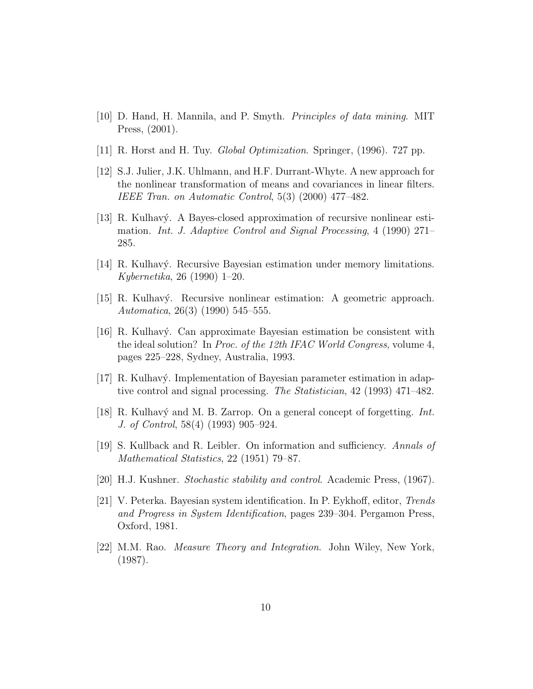- [10] D. Hand, H. Mannila, and P. Smyth. Principles of data mining. MIT Press, (2001).
- [11] R. Horst and H. Tuy. Global Optimization. Springer, (1996). 727 pp.
- [12] S.J. Julier, J.K. Uhlmann, and H.F. Durrant-Whyte. A new approach for the nonlinear transformation of means and covariances in linear filters. IEEE Tran. on Automatic Control, 5(3) (2000) 477–482.
- [13] R. Kulhavý. A Bayes-closed approximation of recursive nonlinear estimation. Int. J. Adaptive Control and Signal Processing, 4 (1990) 271– 285.
- [14] R. Kulhavý. Recursive Bayesian estimation under memory limitations. Kybernetika, 26 (1990) 1–20.
- [15] R. Kulhav´y. Recursive nonlinear estimation: A geometric approach. Automatica, 26(3) (1990) 545–555.
- [16] R. Kulhav´y. Can approximate Bayesian estimation be consistent with the ideal solution? In Proc. of the 12th IFAC World Congress, volume 4, pages 225–228, Sydney, Australia, 1993.
- [17] R. Kulhavý. Implementation of Bayesian parameter estimation in adaptive control and signal processing. The Statistician, 42 (1993) 471–482.
- [18] R. Kulhavý and M. B. Zarrop. On a general concept of forgetting. Int. J. of Control, 58(4) (1993) 905–924.
- [19] S. Kullback and R. Leibler. On information and sufficiency. Annals of Mathematical Statistics, 22 (1951) 79–87.
- [20] H.J. Kushner. Stochastic stability and control. Academic Press, (1967).
- [21] V. Peterka. Bayesian system identification. In P. Eykhoff, editor, Trends and Progress in System Identification, pages 239–304. Pergamon Press, Oxford, 1981.
- [22] M.M. Rao. Measure Theory and Integration. John Wiley, New York, (1987).